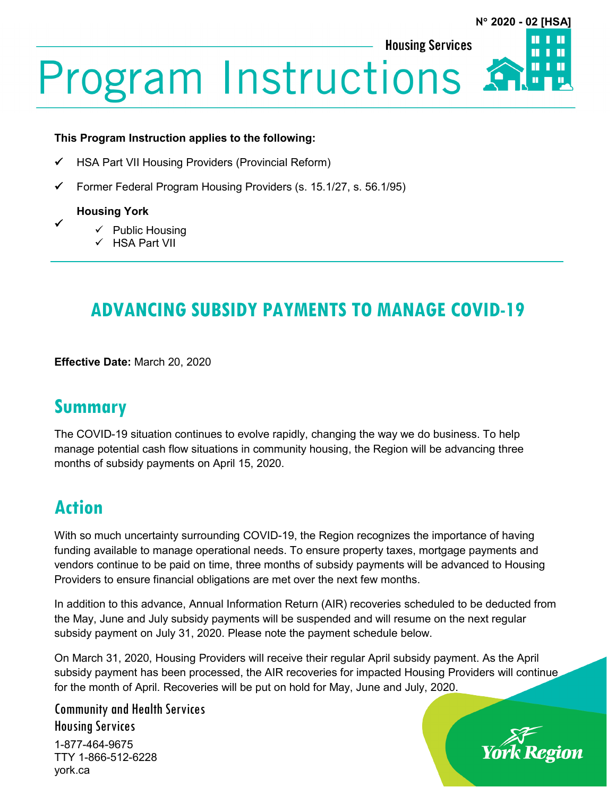**Housing Services** 

# **Program Instructions:**

#### **This Program Instruction applies to the following:**

- HSA Part VII Housing Providers (Provincial Reform)
- $\checkmark$  Former Federal Program Housing Providers (s. 15.1/27, s. 56.1/95)

### **Housing York**

 $\checkmark$ 

- $\checkmark$  Public Housing
- HSA Part VII

# **ADVANCING SUBSIDY PAYMENTS TO MANAGE COVID-19**

**Effective Date:** March 20, 2020

# **Summary**

The COVID-19 situation continues to evolve rapidly, changing the way we do business. To help manage potential cash flow situations in community housing, the Region will be advancing three months of subsidy payments on April 15, 2020.

# **Action**

With so much uncertainty surrounding COVID-19, the Region recognizes the importance of having funding available to manage operational needs. To ensure property taxes, mortgage payments and vendors continue to be paid on time, three months of subsidy payments will be advanced to Housing Providers to ensure financial obligations are met over the next few months.

In addition to this advance, Annual Information Return (AIR) recoveries scheduled to be deducted from the May, June and July subsidy payments will be suspended and will resume on the next regular subsidy payment on July 31, 2020. Please note the payment schedule below.

On March 31, 2020, Housing Providers will receive their regular April subsidy payment. As the April subsidy payment has been processed, the AIR recoveries for impacted Housing Providers will continue for the month of April. Recoveries will be put on hold for May, June and July, 2020.

Community and Health Services Housing Services 1-877-464-9675

TTY 1-866-512-6228 york.ca